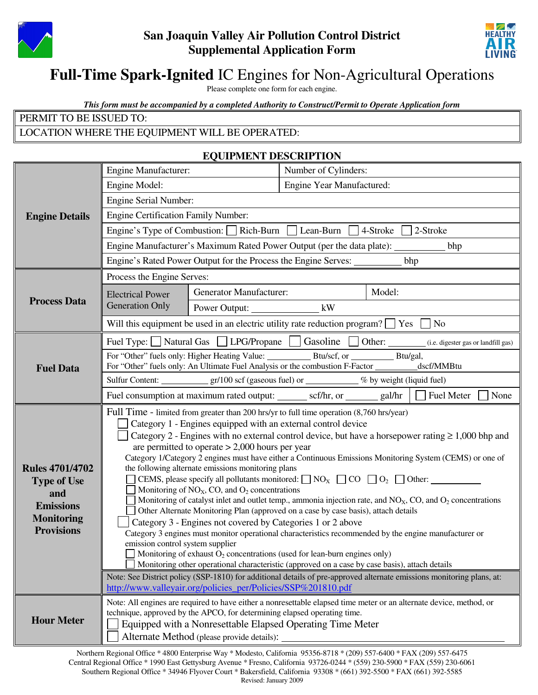

## **San Joaquin Valley Air Pollution Control District Supplemental Application Form**



# **Full-Time Spark-Ignited** IC Engines for Non-Agricultural Operations

Please complete one form for each engine.

*This form must be accompanied by a completed Authority to Construct/Permit to Operate Application form*

| PERMIT TO BE ISSUED TO:                        |  |
|------------------------------------------------|--|
| LOCATION WHERE THE EQUIPMENT WILL BE OPERATED: |  |

#### **EQUIPMENT DESCRIPTION**

|                                        | Engine Manufacturer:                                                                                                                                                                            |                                                                                                 | Number of Cylinders:      |                                                                                                                |  |
|----------------------------------------|-------------------------------------------------------------------------------------------------------------------------------------------------------------------------------------------------|-------------------------------------------------------------------------------------------------|---------------------------|----------------------------------------------------------------------------------------------------------------|--|
|                                        | Engine Model:                                                                                                                                                                                   |                                                                                                 | Engine Year Manufactured: |                                                                                                                |  |
|                                        | Engine Serial Number:                                                                                                                                                                           |                                                                                                 |                           |                                                                                                                |  |
| <b>Engine Details</b>                  | <b>Engine Certification Family Number:</b>                                                                                                                                                      |                                                                                                 |                           |                                                                                                                |  |
|                                        |                                                                                                                                                                                                 | Engine's Type of Combustion: Rich-Burn Lean-Burn 4-Stroke 2-Stroke                              |                           |                                                                                                                |  |
|                                        |                                                                                                                                                                                                 | Engine Manufacturer's Maximum Rated Power Output (per the data plate): _________                |                           | bhp                                                                                                            |  |
|                                        |                                                                                                                                                                                                 | Engine's Rated Power Output for the Process the Engine Serves: _________ bhp                    |                           |                                                                                                                |  |
|                                        | Process the Engine Serves:                                                                                                                                                                      |                                                                                                 |                           |                                                                                                                |  |
|                                        | <b>Electrical Power</b>                                                                                                                                                                         | <b>Generator Manufacturer:</b>                                                                  |                           | Model:                                                                                                         |  |
| <b>Process Data</b>                    | <b>Generation Only</b>                                                                                                                                                                          | Power Output: kW                                                                                |                           |                                                                                                                |  |
|                                        |                                                                                                                                                                                                 | Will this equipment be used in an electric utility rate reduction program? $\Box$ Yes $\Box$ No |                           |                                                                                                                |  |
|                                        |                                                                                                                                                                                                 |                                                                                                 |                           | Fuel Type: Natural Gas $\Box$ LPG/Propane $\Box$ Gasoline $\Box$ Other: (i.e. digester gas or landfill gas)    |  |
|                                        |                                                                                                                                                                                                 |                                                                                                 |                           |                                                                                                                |  |
| <b>Fuel Data</b>                       |                                                                                                                                                                                                 |                                                                                                 |                           |                                                                                                                |  |
|                                        |                                                                                                                                                                                                 |                                                                                                 |                           | Fuel consumption at maximum rated output: _______ scf/hr, or ______ gal/hr $\Box$ Fuel Meter<br>None           |  |
|                                        |                                                                                                                                                                                                 |                                                                                                 |                           |                                                                                                                |  |
|                                        | Full Time - limited from greater than 200 hrs/yr to full time operation (8,760 hrs/year)<br>Category 1 - Engines equipped with an external control device                                       |                                                                                                 |                           |                                                                                                                |  |
|                                        | Category 2 - Engines with no external control device, but have a horsepower rating $\geq 1,000$ bhp and                                                                                         |                                                                                                 |                           |                                                                                                                |  |
|                                        | are permitted to operate $> 2,000$ hours per year                                                                                                                                               |                                                                                                 |                           |                                                                                                                |  |
| <b>Rules 4701/4702</b>                 | Category 1/Category 2 engines must have either a Continuous Emissions Monitoring System (CEMS) or one of<br>the following alternate emissions monitoring plans                                  |                                                                                                 |                           |                                                                                                                |  |
| <b>Type of Use</b>                     | CEMS, please specify all pollutants monitored: $\Box$ NO <sub>X</sub> $\Box$ CO $\Box$ O <sub>2</sub> $\Box$ Other:                                                                             |                                                                                                 |                           |                                                                                                                |  |
| and                                    |                                                                                                                                                                                                 | Monitoring of $NOX$ , CO, and $O2$ concentrations                                               |                           | Monitoring of catalyst inlet and outlet temp., ammonia injection rate, and $NOX$ , CO, and $O2$ concentrations |  |
| <b>Emissions</b>                       |                                                                                                                                                                                                 | Other Alternate Monitoring Plan (approved on a case by case basis), attach details              |                           |                                                                                                                |  |
| <b>Monitoring</b><br><b>Provisions</b> | Category 3 - Engines not covered by Categories 1 or 2 above                                                                                                                                     |                                                                                                 |                           |                                                                                                                |  |
|                                        | Category 3 engines must monitor operational characteristics recommended by the engine manufacturer or<br>emission control system supplier                                                       |                                                                                                 |                           |                                                                                                                |  |
|                                        | Monitoring of exhaust $O_2$ concentrations (used for lean-burn engines only)                                                                                                                    |                                                                                                 |                           |                                                                                                                |  |
|                                        | Monitoring other operational characteristic (approved on a case by case basis), attach details                                                                                                  |                                                                                                 |                           |                                                                                                                |  |
|                                        | Note: See District policy (SSP-1810) for additional details of pre-approved alternate emissions monitoring plans, at:<br>http://www.valleyair.org/policies_per/Policies/SSP%201810.pdf          |                                                                                                 |                           |                                                                                                                |  |
|                                        |                                                                                                                                                                                                 |                                                                                                 |                           |                                                                                                                |  |
| <b>Hour Meter</b>                      | Note: All engines are required to have either a nonresettable elapsed time meter or an alternate device, method, or<br>technique, approved by the APCO, for determining elapsed operating time. |                                                                                                 |                           |                                                                                                                |  |
|                                        | Equipped with a Nonresettable Elapsed Operating Time Meter                                                                                                                                      |                                                                                                 |                           |                                                                                                                |  |
|                                        | Alternate Method (please provide details):                                                                                                                                                      |                                                                                                 |                           |                                                                                                                |  |

Northern Regional Office \* 4800 Enterprise Way \* Modesto, California 95356-8718 \* (209) 557-6400 \* FAX (209) 557-6475 Central Regional Office \* 1990 East Gettysburg Avenue \* Fresno, California 93726-0244 \* (559) 230-5900 \* FAX (559) 230-6061 Southern Regional Office \* 34946 Flyover Court \* Bakersfield, California 93308 \* (661) 392-5500 \* FAX (661) 392-5585 Revised: January 2009